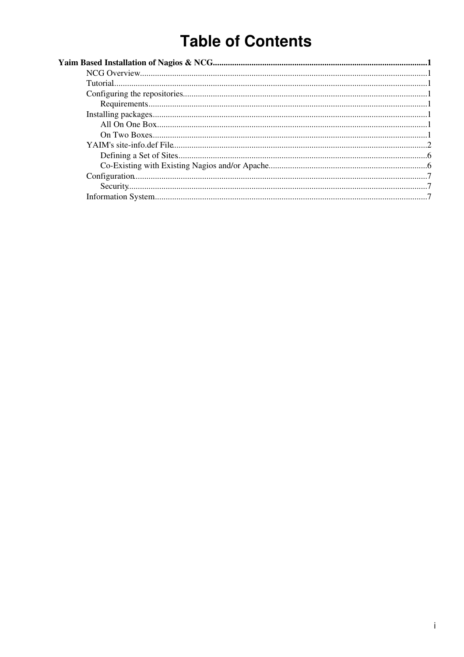# **Table of Contents**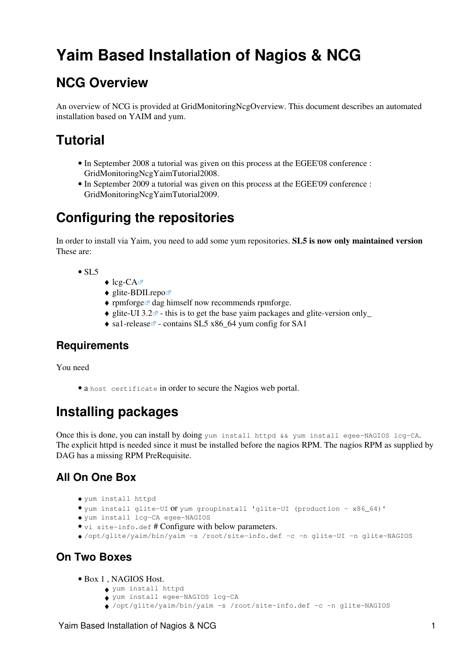# <span id="page-1-0"></span>**Yaim Based Installation of Nagios & NCG**

### <span id="page-1-1"></span>**NCG Overview**

An overview of NCG is provided at [GridMonitoringNcgOverview](https://twiki.cern.ch/twiki/bin/view/EGEE/GridMonitoringNcgOverview). This document describes an automated installation based on [YAIM](https://twiki.cern.ch/twiki/bin/view/EGEE/YAIM) and yum.

## <span id="page-1-2"></span>**Tutorial**

- In September 2008 a tutorial was given on this process at the EGEE'08 conference : GridMonitoringNcgYaimTutorial2008.
- In September 2009 a tutorial was given on this process at the EGEE'09 conference : GridMonitoringNcgYaimTutorial2009.

## <span id="page-1-3"></span>**Configuring the repositories**

In order to install via Yaim, you need to add some yum repositories. **SL5 is now only maintained version** These are:

- $\bullet$  SL5
- $\triangle$  [lcg-CA](http://grid-deployment.web.cern.ch/grid-deployment/glite/repos/3.2/lcg-CA.repo) $\blacksquare$
- $\triangleleft$  [glite-BDII.repo](http://grid-deployment.web.cern.ch/grid-deployment/glite/repos/3.X/glite-BDII.repo) $\triangleleft$
- $\bullet$  [rpmforge](https://rpmrepo.org/RPMforge/Using) $\textdegree$  dag himself now recommends rpmforge.
- $\triangleq$  glite-UI 3.2<sup> $\alpha$ </sup> this is to get the base yaim packages and glite-version only
- $\triangle$  [sa1-release](http://www.sysadmin.hep.ac.uk/rpms/egee-SA1/centos5/x86_64/repoview/sa1-release.html)  $\triangle$  contains SL5 x86 64 yum config for SA1

#### <span id="page-1-4"></span>**Requirements**

You need

• a host certificate in order to secure the Nagios web portal.

## <span id="page-1-5"></span>**Installing packages**

Once this is done, you can install by doing yum install httpd  $&&$  yum install egee-NAGIOS lcg-CA. The explicit httpd is needed since it must be installed before the nagios RPM. The nagios RPM as supplied by DAG has a missing RPM PreRequisite.

#### <span id="page-1-6"></span>**All On One Box**

- yum install httpd
- yum install glite-UI or yum groupinstall 'glite-UI (production x86\_64)'
- yum install lcg-CA egee-NAGIOS
- vi site-info.def # Configure with below parameters.
- /opt/glite/yaim/bin/yaim -s /root/site-info.def -c -n glite-UI -n glite-NAGIOS

#### <span id="page-1-7"></span>**On Two Boxes**

- Box 1 , NAGIOS Host.
	- ♦ yum install httpd
	- ♦ yum install egee-NAGIOS lcg-CA
	- ♦ /opt/glite/yaim/bin/yaim -s /root/site-info.def -c -n glite-NAGIOS

#### Yaim Based Installation of Nagios & NCG 1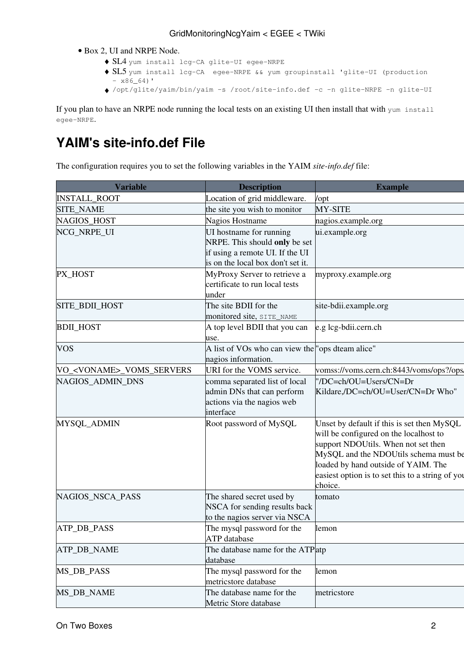- Box 2, UI and NRPE Node.
	- ♦ SL4 yum install lcg-CA glite-UI egee-NRPE
	- ◆ SL5 yum install lcg-CA egee-NRPE && yum groupinstall 'glite-UI (production  $- x86664)$ '
	- ♦ /opt/glite/yaim/bin/yaim -s /root/site-info.def -c -n glite-NRPE -n glite-UI

If you plan to have an NRPE node running the local tests on an existing UI then install that with yum install egee-NRPE.

### <span id="page-2-0"></span>**[YAIM](https://twiki.cern.ch/twiki/bin/view/EGEE/YAIM)'s site-info.def File**

The configuration requires you to set the following variables in the [YAIM](https://twiki.cern.ch/twiki/bin/view/EGEE/YAIM) *site-info.def* file:

| <b>Variable</b>                    | <b>Description</b>                                                                                                               | <b>Example</b>                                                                                                                                                                                                                                                             |
|------------------------------------|----------------------------------------------------------------------------------------------------------------------------------|----------------------------------------------------------------------------------------------------------------------------------------------------------------------------------------------------------------------------------------------------------------------------|
| <b>INSTALL_ROOT</b>                | Location of grid middleware.                                                                                                     | /opt                                                                                                                                                                                                                                                                       |
| <b>SITE_NAME</b>                   | the site you wish to monitor                                                                                                     | MY-SITE                                                                                                                                                                                                                                                                    |
| NAGIOS_HOST                        | Nagios Hostname                                                                                                                  | nagios.example.org                                                                                                                                                                                                                                                         |
| NCG NRPE UI                        | UI hostname for running<br>NRPE. This should only be set<br>if using a remote UI. If the UI<br>is on the local box don't set it. | ui.example.org                                                                                                                                                                                                                                                             |
| PX_HOST                            | MyProxy Server to retrieve a<br>certificate to run local tests<br>under                                                          | myproxy.example.org                                                                                                                                                                                                                                                        |
| SITE_BDII_HOST                     | The site BDII for the<br>monitored site, SITE_NAME                                                                               | site-bdii.example.org                                                                                                                                                                                                                                                      |
| <b>BDIL_HOST</b>                   | A top level BDII that you can<br>use.                                                                                            | e.g lcg-bdii.cern.ch                                                                                                                                                                                                                                                       |
| <b>VOS</b>                         | A list of VOs who can view the "ops dteam alice"<br>nagios information.                                                          |                                                                                                                                                                                                                                                                            |
| VO_ <voname>_VOMS_SERVERS</voname> | URI for the VOMS service.                                                                                                        | vomss://voms.cern.ch:8443/voms/ops?/ops/                                                                                                                                                                                                                                   |
| NAGIOS ADMIN DNS                   | comma separated list of local<br>admin DNs that can perform<br>actions via the nagios web<br>interface                           | "/DC=ch/OU=Users/CN=Dr<br>Kildare,/DC=ch/OU=User/CN=Dr Who"                                                                                                                                                                                                                |
| MYSQL_ADMIN                        | Root password of MySQL                                                                                                           | Unset by default if this is set then MySQL<br>will be configured on the localhost to<br>support NDOUtils. When not set then<br>MySQL and the NDOUtils schema must be<br>loaded by hand outside of YAIM. The<br>easiest option is to set this to a string of you<br>choice. |
| NAGIOS_NSCA_PASS                   | The shared secret used by<br>NSCA for sending results back<br>to the nagios server via NSCA                                      | tomato                                                                                                                                                                                                                                                                     |
| ATP_DB_PASS                        | The mysql password for the<br>ATP database                                                                                       | lemon                                                                                                                                                                                                                                                                      |
| ATP_DB_NAME                        | The database name for the ATP atp<br>database                                                                                    |                                                                                                                                                                                                                                                                            |
| MS_DB_PASS                         | The mysql password for the<br>metricstore database                                                                               | lemon                                                                                                                                                                                                                                                                      |
| MS_DB_NAME                         | The database name for the<br>Metric Store database                                                                               | metricstore                                                                                                                                                                                                                                                                |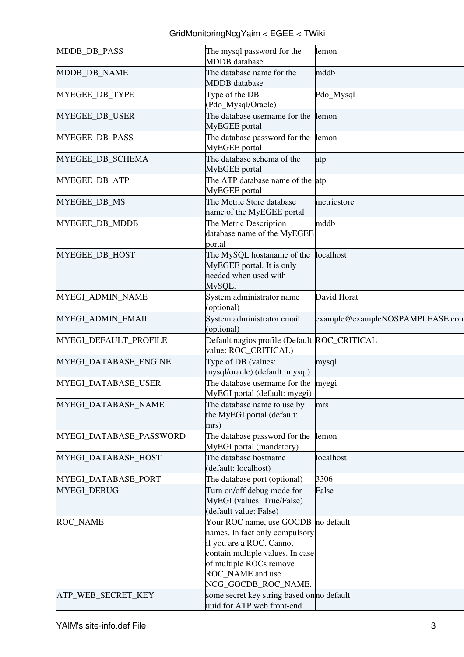| MDDB_DB_PASS            | The mysql password for the<br><b>MDDB</b> database                                                                                                                                               | lemon                           |
|-------------------------|--------------------------------------------------------------------------------------------------------------------------------------------------------------------------------------------------|---------------------------------|
| MDDB_DB_NAME            | The database name for the<br><b>MDDB</b> database                                                                                                                                                | mddb                            |
| MYEGEE_DB_TYPE          | Type of the DB<br>(Pdo_Mysql/Oracle)                                                                                                                                                             | Pdo_Mysql                       |
| MYEGEE_DB_USER          | The database username for the<br>MyEGEE portal                                                                                                                                                   | lemon                           |
| MYEGEE_DB_PASS          | The database password for the<br>MyEGEE portal                                                                                                                                                   | lemon                           |
| MYEGEE_DB_SCHEMA        | The database schema of the<br>MyEGEE portal                                                                                                                                                      | atp                             |
| MYEGEE_DB_ATP           | The ATP database name of the atp<br>MyEGEE portal                                                                                                                                                |                                 |
| MYEGEE_DB_MS            | The Metric Store database<br>name of the MyEGEE portal                                                                                                                                           | metricstore                     |
| MYEGEE_DB_MDDB          | The Metric Description<br>database name of the MyEGEE<br>portal                                                                                                                                  | mddb                            |
| MYEGEE_DB_HOST          | The MySQL hostaname of the<br>MyEGEE portal. It is only<br>needed when used with<br>MySQL.                                                                                                       | localhost                       |
| MYEGI_ADMIN_NAME        | System administrator name<br>(optional)                                                                                                                                                          | David Horat                     |
| MYEGI_ADMIN_EMAIL       | System administrator email<br>(optional)                                                                                                                                                         | example@exampleNOSPAMPLEASE.com |
| MYEGI_DEFAULT_PROFILE   | Default nagios profile (Default ROC_CRITICAL<br>value: ROC_CRITICAL)                                                                                                                             |                                 |
| MYEGI_DATABASE_ENGINE   | Type of DB (values:<br>mysql/oracle) (default: mysql)                                                                                                                                            | mysql                           |
| MYEGI_DATABASE_USER     | The database username for the myegi<br>MyEGI portal (default: myegi)                                                                                                                             |                                 |
| MYEGI_DATABASE_NAME     | The database name to use by<br>the MyEGI portal (default:<br>mrs)                                                                                                                                | mrs                             |
| MYEGI_DATABASE_PASSWORD | The database password for the<br>MyEGI portal (mandatory)                                                                                                                                        | lemon                           |
| MYEGI_DATABASE_HOST     | The database hostname<br>(default: localhost)                                                                                                                                                    | localhost                       |
| MYEGI_DATABASE_PORT     | The database port (optional)                                                                                                                                                                     | 3306                            |
| MYEGI_DEBUG             | Turn on/off debug mode for<br>MyEGI (values: True/False)<br>(default value: False)                                                                                                               | False                           |
| ROC_NAME                | Your ROC name, use GOCDB<br>names. In fact only compulsory<br>if you are a ROC. Cannot<br>contain multiple values. In case<br>of multiple ROCs remove<br>ROC_NAME and use<br>NCG_GOCDB_ROC_NAME. | no default                      |
| ATP_WEB_SECRET_KEY      | some secret key string based on no default<br>uuid for ATP web front-end                                                                                                                         |                                 |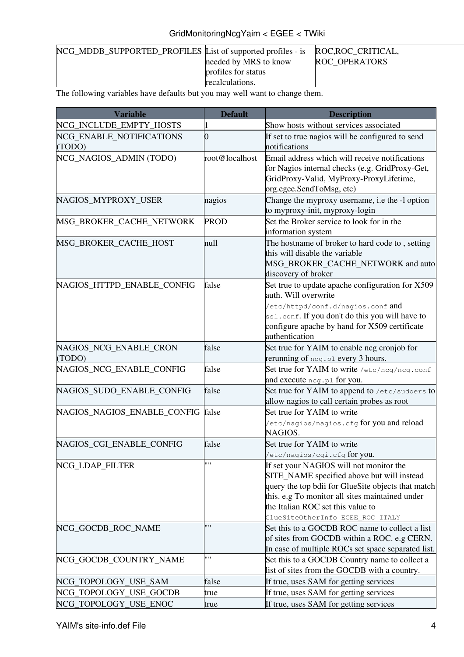| NCG_MDDB_SUPPORTED_PROFILES List of supported profiles - is ROC,ROC_CRITICAL, |                       |                      |
|-------------------------------------------------------------------------------|-----------------------|----------------------|
|                                                                               | needed by MRS to know | <b>ROC OPERATORS</b> |
|                                                                               | profiles for status   |                      |
|                                                                               | recalculations.       |                      |

The following variables have defaults but you may well want to change them.

| <b>Variable</b>                    | <b>Default</b> | <b>Description</b>                                                                                                                                                                                                                                                      |
|------------------------------------|----------------|-------------------------------------------------------------------------------------------------------------------------------------------------------------------------------------------------------------------------------------------------------------------------|
| NCG_INCLUDE_EMPTY_HOSTS            |                | Show hosts without services associated                                                                                                                                                                                                                                  |
| NCG_ENABLE_NOTIFICATIONS<br>(TODO) | 0              | If set to true nagios will be configured to send<br>notifications                                                                                                                                                                                                       |
| NCG_NAGIOS_ADMIN (TODO)            | root@localhost | Email address which will receive notifications<br>for Nagios internal checks (e.g. GridProxy-Get,<br>GridProxy-Valid, MyProxy-ProxyLifetime,<br>org.egee.SendToMsg, etc)                                                                                                |
| NAGIOS_MYPROXY_USER                | nagios         | Change the myproxy username, i.e the -1 option<br>to myproxy-init, myproxy-login                                                                                                                                                                                        |
| MSG_BROKER_CACHE_NETWORK           | <b>PROD</b>    | Set the Broker service to look for in the<br>information system                                                                                                                                                                                                         |
| MSG_BROKER_CACHE_HOST              | null           | The hostname of broker to hard code to, setting<br>this will disable the variable<br>MSG_BROKER_CACHE_NETWORK and auto<br>discovery of broker                                                                                                                           |
| NAGIOS_HTTPD_ENABLE_CONFIG         | false          | Set true to update apache configuration for X509<br>auth. Will overwrite<br>/etc/httpd/conf.d/nagios.conf and<br>ssl.conf. If you don't do this you will have to<br>configure apache by hand for X509 certificate<br>authentication                                     |
| NAGIOS_NCG_ENABLE_CRON<br>(TODO)   | false          | Set true for YAIM to enable ncg cronjob for<br>rerunning of neg. pl every 3 hours.                                                                                                                                                                                      |
| NAGIOS_NCG_ENABLE_CONFIG           | false          | Set true for YAIM to write /etc/ncg/ncg.conf<br>and execute neg.pl for you.                                                                                                                                                                                             |
| NAGIOS_SUDO_ENABLE_CONFIG          | false          | Set true for YAIM to append to /etc/sudoers to<br>allow nagios to call certain probes as root                                                                                                                                                                           |
| NAGIOS_NAGIOS_ENABLE_CONFIG        | false          | Set true for YAIM to write<br>/etc/nagios/nagios.cfg for you and reload<br>NAGIOS.                                                                                                                                                                                      |
| NAGIOS CGI ENABLE CONFIG           | false          | Set true for YAIM to write<br>/etc/nagios/cgi.cfg for you.                                                                                                                                                                                                              |
| NCG_LDAP_FILTER                    | <b>****</b>    | If set your NAGIOS will not monitor the<br>SITE_NAME specified above but will instead<br>query the top bdii for GlueSite objects that match<br>this. e.g To monitor all sites maintained under<br>the Italian ROC set this value to<br>GlueSiteOtherInfo=EGEE_ROC=ITALY |
| NCG_GOCDB_ROC_NAME                 | 1111           | Set this to a GOCDB ROC name to collect a list<br>of sites from GOCDB within a ROC. e.g CERN.<br>In case of multiple ROCs set space separated list.                                                                                                                     |
| NCG_GOCDB_COUNTRY_NAME             | 11 II          | Set this to a GOCDB Country name to collect a<br>list of sites from the GOCDB with a country.                                                                                                                                                                           |
| NCG_TOPOLOGY_USE_SAM               | false          | If true, uses SAM for getting services                                                                                                                                                                                                                                  |
| NCG_TOPOLOGY_USE_GOCDB             | true           | If true, uses SAM for getting services                                                                                                                                                                                                                                  |
| NCG_TOPOLOGY_USE_ENOC              | true           | If true, uses SAM for getting services                                                                                                                                                                                                                                  |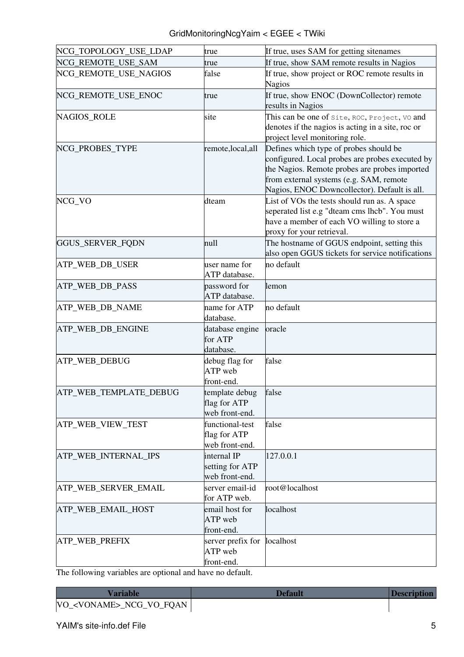| NCG_TOPOLOGY_USE_LDAP  | true                                              | If true, uses SAM for getting sitenames                                                                                                                                                                                               |  |
|------------------------|---------------------------------------------------|---------------------------------------------------------------------------------------------------------------------------------------------------------------------------------------------------------------------------------------|--|
| NCG_REMOTE_USE_SAM     | true                                              | If true, show SAM remote results in Nagios                                                                                                                                                                                            |  |
| NCG_REMOTE_USE_NAGIOS  | false                                             | If true, show project or ROC remote results in<br><b>Nagios</b>                                                                                                                                                                       |  |
| NCG_REMOTE_USE_ENOC    | true                                              | If true, show ENOC (DownCollector) remote<br>results in Nagios                                                                                                                                                                        |  |
| <b>NAGIOS_ROLE</b>     | site                                              | This can be one of Site, ROC, Project, VO and<br>denotes if the nagios is acting in a site, roc or<br>project level monitoring role.                                                                                                  |  |
| NCG_PROBES_TYPE        | remote, local, all                                | Defines which type of probes should be<br>configured. Local probes are probes executed by<br>the Nagios. Remote probes are probes imported<br>from external systems (e.g. SAM, remote<br>Nagios, ENOC Downcollector). Default is all. |  |
| NCG_VO                 | dteam                                             | List of VOs the tests should run as. A space<br>seperated list e.g "dteam cms lhcb". You must<br>have a member of each VO willing to store a<br>proxy for your retrieval.                                                             |  |
| GGUS_SERVER_FQDN       | null                                              | The hostname of GGUS endpoint, setting this<br>also open GGUS tickets for service notifications                                                                                                                                       |  |
| ATP_WEB_DB_USER        | user name for<br>ATP database.                    | no default                                                                                                                                                                                                                            |  |
| ATP_WEB_DB_PASS        | password for<br>ATP database.                     | lemon                                                                                                                                                                                                                                 |  |
| ATP_WEB_DB_NAME        | name for ATP<br>database.                         | no default                                                                                                                                                                                                                            |  |
| ATP_WEB_DB_ENGINE      | database engine<br>for ATP<br>database.           | oracle                                                                                                                                                                                                                                |  |
| ATP_WEB_DEBUG          | debug flag for<br>ATP web<br>front-end.           | false                                                                                                                                                                                                                                 |  |
| ATP_WEB_TEMPLATE_DEBUG | template debug<br>flag for ATP<br>web front-end.  | false                                                                                                                                                                                                                                 |  |
| ATP_WEB_VIEW_TEST      | functional-test<br>flag for ATP<br>web front-end. | false                                                                                                                                                                                                                                 |  |
| ATP_WEB_INTERNAL_IPS   | internal IP<br>setting for ATP<br>web front-end.  | 127.0.0.1                                                                                                                                                                                                                             |  |
| ATP_WEB_SERVER_EMAIL   | server email-id<br>for ATP web.                   | root@localhost                                                                                                                                                                                                                        |  |
| ATP_WEB_EMAIL_HOST     | email host for<br>ATP web<br>front-end.           | localhost                                                                                                                                                                                                                             |  |
| ATP_WEB_PREFIX         | server prefix for<br>ATP web<br>front-end.        | localhost                                                                                                                                                                                                                             |  |

The following variables are optional and have no default.

**[Variable](https://twiki.cern.ch/twiki/bin/genpdf/EGEE/GridMonitoringNcgYaim?skin=pattern;cover=print;sortcol=0;table=3;up=0#sorted_table) [Default](https://twiki.cern.ch/twiki/bin/genpdf/EGEE/GridMonitoringNcgYaim?skin=pattern;cover=print;sortcol=1;table=3;up=0#sorted_table) [Description](https://twiki.cern.ch/twiki/bin/genpdf/EGEE/GridMonitoringNcgYaim?skin=pattern;cover=print;sortcol=2;table=3;up=0#sorted_table)** VO\_<VONAME>\_NCG\_VO\_FQAN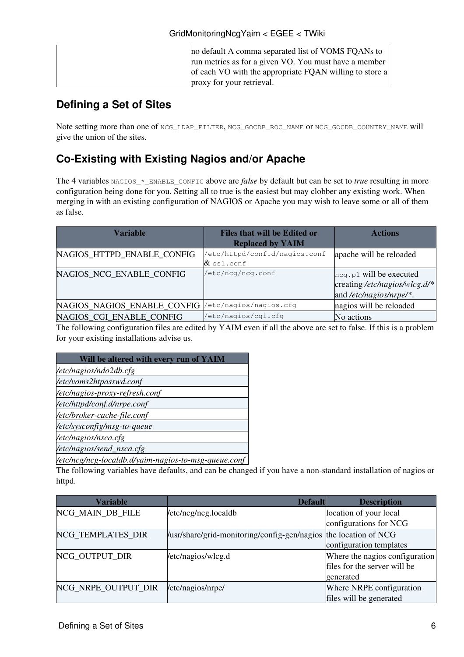| no default A comma separated list of VOMS FQANs to      |
|---------------------------------------------------------|
| run metrics as for a given VO. You must have a member   |
| of each VO with the appropriate FQAN willing to store a |
| proxy for your retrieval.                               |

#### <span id="page-6-0"></span>**Defining a Set of Sites**

Note setting more than one of NCG\_LDAP\_FILTER, NCG\_GOCDB\_ROC\_NAME or NCG\_GOCDB\_COUNTRY\_NAME will give the union of the sites.

### <span id="page-6-1"></span>**Co-Existing with Existing Nagios and/or Apache**

The 4 variables NAGIOS<sub>\*</sub> ENABLE\_CONFIG above are *false* by default but can be set to *true* resulting in more configuration being done for you. Setting all to true is the easiest but may clobber any existing work. When merging in with an existing configuration of NAGIOS or Apache you may wish to leave some or all of them as false.

| <b>Variable</b>             | <b>Files that will be Edited or</b><br><b>Replaced by YAIM</b> | <b>Actions</b>                                                                         |
|-----------------------------|----------------------------------------------------------------|----------------------------------------------------------------------------------------|
| NAGIOS_HTTPD_ENABLE_CONFIG  | /etc/httpd/conf.d/nagios.conf<br>$\&$ ssl.conf                 | apache will be reloaded                                                                |
| NAGIOS NCG ENABLE CONFIG    | /etc/ncg/ncg.conf                                              | $\log p1$ will be executed<br>creating /etc/nagios/wlcg.d/*<br>and /etc/nagios/nrpe/*. |
| NAGIOS NAGIOS ENABLE CONFIG | 'etc/nagios/nagios.cfg                                         | nagios will be reloaded                                                                |
| NAGIOS CGI ENABLE CONFIG    | /etc/nagios/cgi.cfg                                            | No actions                                                                             |

The following configuration files are edited by [YAIM](https://twiki.cern.ch/twiki/bin/view/EGEE/YAIM) even if all the above are set to false. If this is a problem for your existing installations advise us.

| Will be altered with every run of YAIM               |
|------------------------------------------------------|
| /etc/nagios/ndo2db.cfg                               |
| /etc/voms2htpasswd.conf                              |
| /etc/nagios-proxy-refresh.conf                       |
| /etc/httpd/conf.d/nrpe.conf                          |
| /etc/broker-cache-file.conf                          |
| /etc/sysconfig/msg-to-queue                          |
| /etc/nagios/nsca.cfg                                 |
| /etc/nagios/send_nsca.cfg                            |
| /etc/ncg/ncg-localdb.d/yaim-nagios-to-msg-queue.conf |

The following variables have defaults, and can be changed if you have a non-standard installation of nagios or httpd.

| <b>Variable</b>     | <b>Default</b>                                                   | <b>Description</b>             |
|---------------------|------------------------------------------------------------------|--------------------------------|
| NCG_MAIN_DB_FILE    | /etc/ncg/ncg.localdb                                             | location of your local         |
|                     |                                                                  | configurations for NCG         |
| NCG_TEMPLATES_DIR   | /usr/share/grid-monitoring/config-gen/nagios the location of NCG |                                |
|                     |                                                                  | configuration templates        |
| NCG_OUTPUT_DIR      | /etc/nagios/wlcg.d                                               | Where the nagios configuration |
|                     |                                                                  | files for the server will be   |
|                     |                                                                  | generated                      |
| NCG_NRPE_OUTPUT_DIR | /etc/nagios/nrpe/                                                | Where NRPE configuration       |
|                     |                                                                  | files will be generated        |